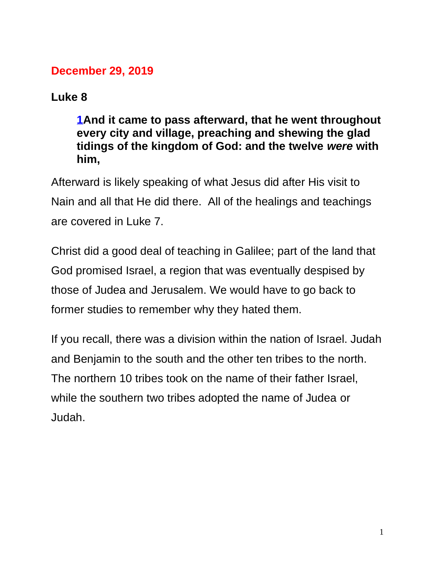## **December 29, 2019**

## **Luke 8**

**[1A](https://biblehub.com/luke/8-1.htm)nd it came to pass afterward, that he went throughout every city and village, preaching and shewing the glad tidings of the kingdom of God: and the twelve** *were* **with him,**

Afterward is likely speaking of what Jesus did after His visit to Nain and all that He did there. All of the healings and teachings are covered in Luke 7.

Christ did a good deal of teaching in Galilee; part of the land that God promised Israel, a region that was eventually despised by those of Judea and Jerusalem. We would have to go back to former studies to remember why they hated them.

If you recall, there was a division within the nation of Israel. Judah and Benjamin to the south and the other ten tribes to the north. The northern 10 tribes took on the name of their father Israel, while the southern two tribes adopted the name of Judea or Judah.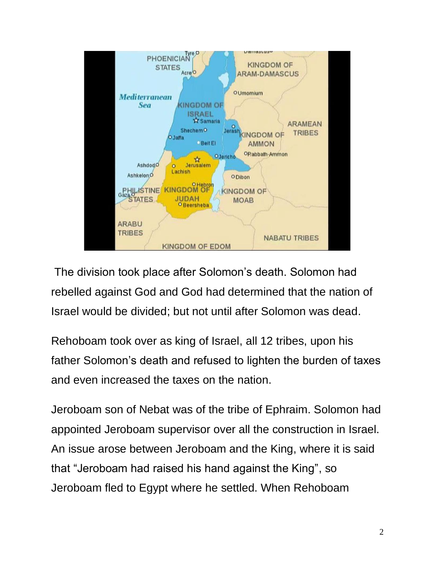

The division took place after Solomon's death. Solomon had rebelled against God and God had determined that the nation of Israel would be divided; but not until after Solomon was dead.

Rehoboam took over as king of Israel, all 12 tribes, upon his father Solomon's death and refused to lighten the burden of taxes and even increased the taxes on the nation.

Jeroboam son of Nebat was of the tribe of Ephraim. Solomon had appointed Jeroboam supervisor over all the construction in Israel. An issue arose between Jeroboam and the King, where it is said that "Jeroboam had raised his hand against the King", so Jeroboam fled to Egypt where he settled. When Rehoboam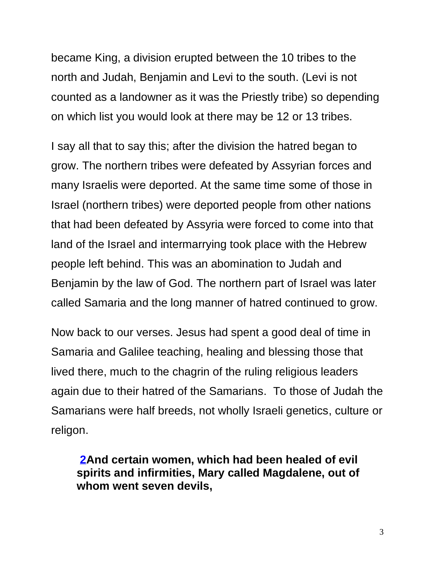became King, a division erupted between the 10 tribes to the north and Judah, Benjamin and Levi to the south. (Levi is not counted as a landowner as it was the Priestly tribe) so depending on which list you would look at there may be 12 or 13 tribes.

I say all that to say this; after the division the hatred began to grow. The northern tribes were defeated by Assyrian forces and many Israelis were deported. At the same time some of those in Israel (northern tribes) were deported people from other nations that had been defeated by Assyria were forced to come into that land of the Israel and intermarrying took place with the Hebrew people left behind. This was an abomination to Judah and Benjamin by the law of God. The northern part of Israel was later called Samaria and the long manner of hatred continued to grow.

Now back to our verses. Jesus had spent a good deal of time in Samaria and Galilee teaching, healing and blessing those that lived there, much to the chagrin of the ruling religious leaders again due to their hatred of the Samarians. To those of Judah the Samarians were half breeds, not wholly Israeli genetics, culture or religon.

**[2A](https://biblehub.com/luke/8-2.htm)nd certain women, which had been healed of evil spirits and infirmities, Mary called Magdalene, out of whom went seven devils,**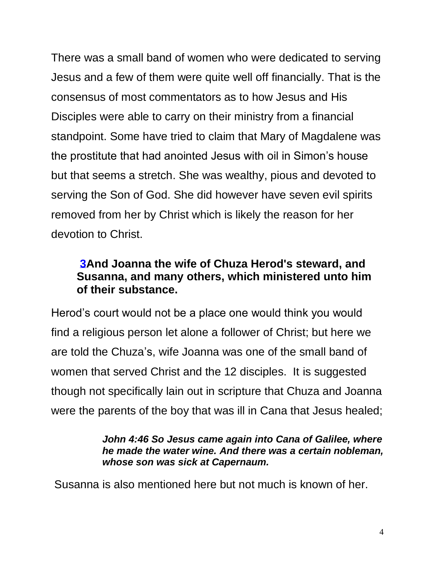There was a small band of women who were dedicated to serving Jesus and a few of them were quite well off financially. That is the consensus of most commentators as to how Jesus and His Disciples were able to carry on their ministry from a financial standpoint. Some have tried to claim that Mary of Magdalene was the prostitute that had anointed Jesus with oil in Simon's house but that seems a stretch. She was wealthy, pious and devoted to serving the Son of God. She did however have seven evil spirits removed from her by Christ which is likely the reason for her devotion to Christ.

## **[3A](https://biblehub.com/luke/8-3.htm)nd Joanna the wife of Chuza Herod's steward, and Susanna, and many others, which ministered unto him of their substance.**

Herod's court would not be a place one would think you would find a religious person let alone a follower of Christ; but here we are told the Chuza's, wife Joanna was one of the small band of women that served Christ and the 12 disciples. It is suggested though not specifically lain out in scripture that Chuza and Joanna were the parents of the boy that was ill in Cana that Jesus healed;

#### *John 4:46 So Jesus came again into Cana of Galilee, where he made the water wine. And there was a certain nobleman, whose son was sick at Capernaum.*

Susanna is also mentioned here but not much is known of her.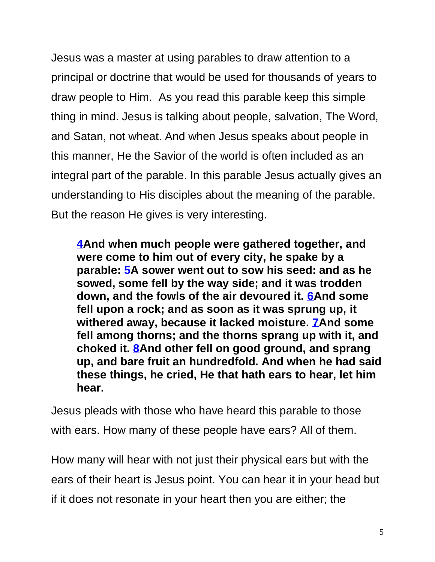Jesus was a master at using parables to draw attention to a principal or doctrine that would be used for thousands of years to draw people to Him. As you read this parable keep this simple thing in mind. Jesus is talking about people, salvation, The Word, and Satan, not wheat. And when Jesus speaks about people in this manner, He the Savior of the world is often included as an integral part of the parable. In this parable Jesus actually gives an understanding to His disciples about the meaning of the parable. But the reason He gives is very interesting.

**[4A](https://biblehub.com/luke/8-4.htm)nd when much people were gathered together, and were come to him out of every city, he spake by a parable: [5A](https://biblehub.com/luke/8-5.htm) sower went out to sow his seed: and as he sowed, some fell by the way side; and it was trodden down, and the fowls of the air devoured it. [6A](https://biblehub.com/luke/8-6.htm)nd some fell upon a rock; and as soon as it was sprung up, it withered away, because it lacked moisture. [7A](https://biblehub.com/luke/8-7.htm)nd some fell among thorns; and the thorns sprang up with it, and choked it. [8A](https://biblehub.com/luke/8-8.htm)nd other fell on good ground, and sprang up, and bare fruit an hundredfold. And when he had said these things, he cried, He that hath ears to hear, let him hear.**

Jesus pleads with those who have heard this parable to those with ears. How many of these people have ears? All of them.

How many will hear with not just their physical ears but with the ears of their heart is Jesus point. You can hear it in your head but if it does not resonate in your heart then you are either; the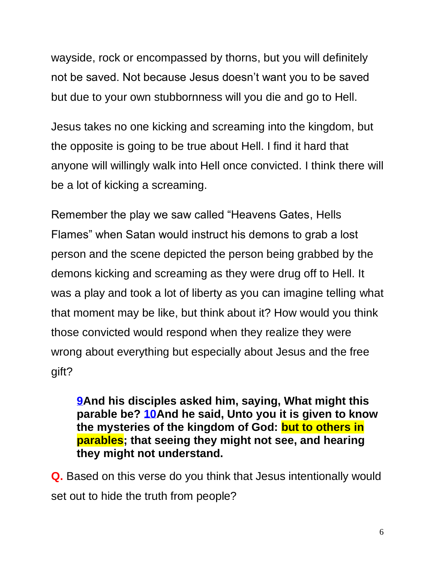wayside, rock or encompassed by thorns, but you will definitely not be saved. Not because Jesus doesn't want you to be saved but due to your own stubbornness will you die and go to Hell.

Jesus takes no one kicking and screaming into the kingdom, but the opposite is going to be true about Hell. I find it hard that anyone will willingly walk into Hell once convicted. I think there will be a lot of kicking a screaming.

Remember the play we saw called "Heavens Gates, Hells Flames" when Satan would instruct his demons to grab a lost person and the scene depicted the person being grabbed by the demons kicking and screaming as they were drug off to Hell. It was a play and took a lot of liberty as you can imagine telling what that moment may be like, but think about it? How would you think those convicted would respond when they realize they were wrong about everything but especially about Jesus and the free gift?

**[9A](https://biblehub.com/luke/8-9.htm)nd his disciples asked him, saying, What might this parable be? [10A](https://biblehub.com/luke/8-10.htm)nd he said, Unto you it is given to know the mysteries of the kingdom of God: but to others in parables; that seeing they might not see, and hearing they might not understand.**

**Q.** Based on this verse do you think that Jesus intentionally would set out to hide the truth from people?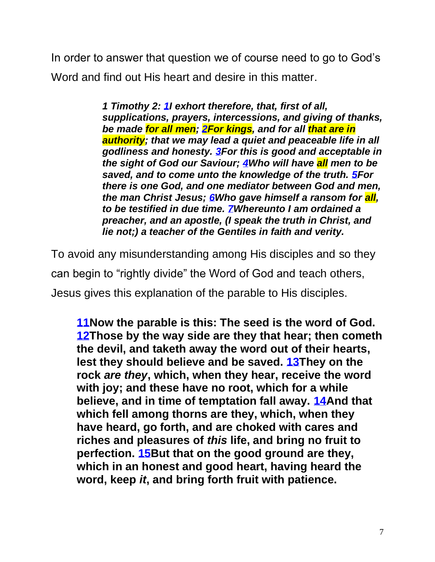In order to answer that question we of course need to go to God's Word and find out His heart and desire in this matter.

> *1 Timothy 2: [1I](https://biblehub.com/1_timothy/2-1.htm) exhort therefore, that, first of all, supplications, prayers, intercessions, and giving of thanks, be made for all men; [2F](https://biblehub.com/1_timothy/2-2.htm)or kings, and for all that are in authority; that we may lead a quiet and peaceable life in all godliness and honesty. [3F](https://biblehub.com/1_timothy/2-3.htm)or this is good and acceptable in the sight of God our Saviour; [4W](https://biblehub.com/1_timothy/2-4.htm)ho will have all men to be saved, and to come unto the knowledge of the truth. [5F](https://biblehub.com/1_timothy/2-5.htm)or there is one God, and one mediator between God and men, the man Christ Jesus; [6W](https://biblehub.com/1_timothy/2-6.htm)ho gave himself a ransom for all, to be testified in due time. [7W](https://biblehub.com/1_timothy/2-7.htm)hereunto I am ordained a preacher, and an apostle, (I speak the truth in Christ, and lie not;) a teacher of the Gentiles in faith and verity.*

To avoid any misunderstanding among His disciples and so they can begin to "rightly divide" the Word of God and teach others, Jesus gives this explanation of the parable to His disciples.

**[11N](https://biblehub.com/luke/8-11.htm)ow the parable is this: The seed is the word of God. [12T](https://biblehub.com/luke/8-12.htm)hose by the way side are they that hear; then cometh the devil, and taketh away the word out of their hearts, lest they should believe and be saved. [13T](https://biblehub.com/luke/8-13.htm)hey on the rock** *are they***, which, when they hear, receive the word with joy; and these have no root, which for a while believe, and in time of temptation fall away. [14A](https://biblehub.com/luke/8-14.htm)nd that which fell among thorns are they, which, when they have heard, go forth, and are choked with cares and riches and pleasures of** *this* **life, and bring no fruit to perfection. [15B](https://biblehub.com/luke/8-15.htm)ut that on the good ground are they, which in an honest and good heart, having heard the word, keep** *it***, and bring forth fruit with patience.**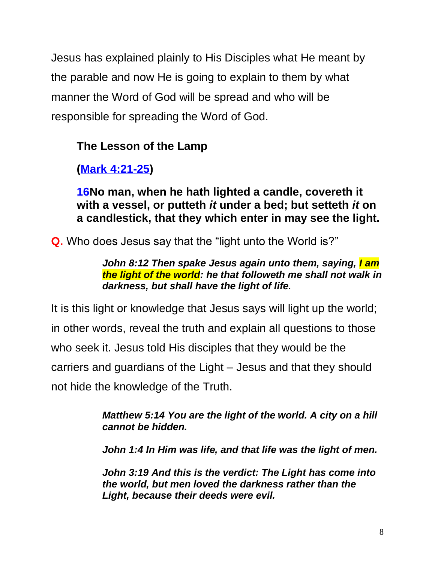Jesus has explained plainly to His Disciples what He meant by the parable and now He is going to explain to them by what manner the Word of God will be spread and who will be responsible for spreading the Word of God.

## **The Lesson of the Lamp**

**[\(Mark 4:21-25\)](https://biblehub.com/kjv/mark/4.htm#21)**

**[16N](https://biblehub.com/luke/8-16.htm)o man, when he hath lighted a candle, covereth it with a vessel, or putteth** *it* **under a bed; but setteth** *it* **on a candlestick, that they which enter in may see the light.** 

**Q.** Who does Jesus say that the "light unto the World is?"

*John 8:12 Then spake Jesus again unto them, saying, I am the light of the world: he that followeth me shall not walk in darkness, but shall have the light of life.*

It is this light or knowledge that Jesus says will light up the world; in other words, reveal the truth and explain all questions to those who seek it. Jesus told His disciples that they would be the carriers and guardians of the Light – Jesus and that they should not hide the knowledge of the Truth.

> *[Matthew 5:14](https://biblehub.com/matthew/5-14.htm) You are the light of the world. A city on a hill cannot be hidden.*

> *[John 1:4](https://biblehub.com/john/1-4.htm) In Him was life, and that life was the light of men.*

*[John 3:19](https://biblehub.com/john/3-19.htm) And this is the verdict: The Light has come into the world, but men loved the darkness rather than the Light, because their deeds were evil.*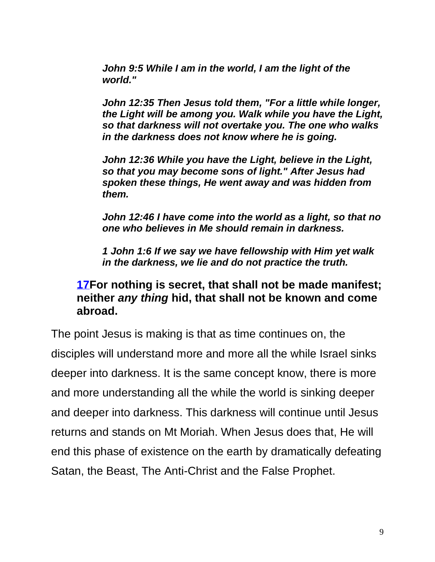*[John 9:5](https://biblehub.com/john/9-5.htm) While I am in the world, I am the light of the world."*

*[John 12:35](https://biblehub.com/john/12-35.htm) Then Jesus told them, "For a little while longer, the Light will be among you. Walk while you have the Light, so that darkness will not overtake you. The one who walks in the darkness does not know where he is going.*

*[John 12:36](https://biblehub.com/john/12-36.htm) While you have the Light, believe in the Light, so that you may become sons of light." After Jesus had spoken these things, He went away and was hidden from them.*

*[John 12:46](https://biblehub.com/john/12-46.htm) I have come into the world as a light, so that no one who believes in Me should remain in darkness.*

*[1 John 1:6](https://biblehub.com/1_john/1-6.htm) If we say we have fellowship with Him yet walk in the darkness, we lie and do not practice the truth.*

### **[17F](https://biblehub.com/luke/8-17.htm)or nothing is secret, that shall not be made manifest; neither** *any thing* **hid, that shall not be known and come abroad.**

The point Jesus is making is that as time continues on, the disciples will understand more and more all the while Israel sinks deeper into darkness. It is the same concept know, there is more and more understanding all the while the world is sinking deeper and deeper into darkness. This darkness will continue until Jesus returns and stands on Mt Moriah. When Jesus does that, He will end this phase of existence on the earth by dramatically defeating Satan, the Beast, The Anti-Christ and the False Prophet.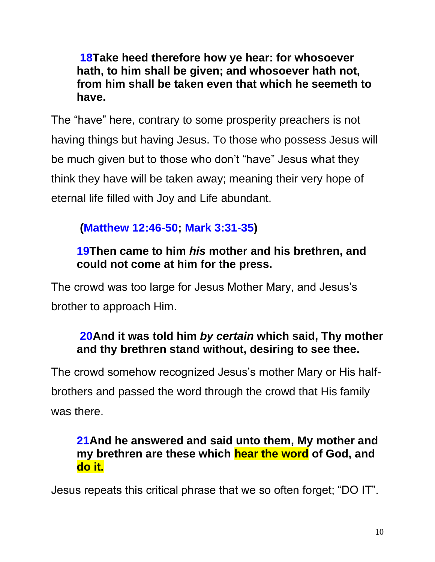**[18T](https://biblehub.com/luke/8-18.htm)ake heed therefore how ye hear: for whosoever hath, to him shall be given; and whosoever hath not, from him shall be taken even that which he seemeth to have.**

The "have" here, contrary to some prosperity preachers is not having things but having Jesus. To those who possess Jesus will be much given but to those who don't "have" Jesus what they think they have will be taken away; meaning their very hope of eternal life filled with Joy and Life abundant.

## **[\(Matthew 12:46-50;](https://biblehub.com/kjv/matthew/12.htm#46) [Mark 3:31-35\)](https://biblehub.com/kjv/mark/3.htm#31)**

## **[19T](https://biblehub.com/luke/8-19.htm)hen came to him** *his* **mother and his brethren, and could not come at him for the press.**

The crowd was too large for Jesus Mother Mary, and Jesus's brother to approach Him.

## **[20A](https://biblehub.com/luke/8-20.htm)nd it was told him** *by certain* **which said, Thy mother and thy brethren stand without, desiring to see thee.**

The crowd somehow recognized Jesus's mother Mary or His halfbrothers and passed the word through the crowd that His family was there.

## **[21A](https://biblehub.com/luke/8-21.htm)nd he answered and said unto them, My mother and my brethren are these which hear the word of God, and do it.**

Jesus repeats this critical phrase that we so often forget; "DO IT".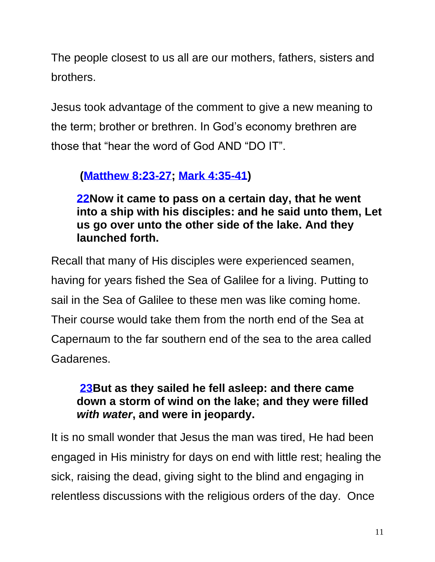The people closest to us all are our mothers, fathers, sisters and brothers.

Jesus took advantage of the comment to give a new meaning to the term; brother or brethren. In God's economy brethren are those that "hear the word of God AND "DO IT".

## **[\(Matthew 8:23-27;](https://biblehub.com/kjv/matthew/8.htm#23) [Mark 4:35-41\)](https://biblehub.com/kjv/mark/4.htm#35)**

**[22N](https://biblehub.com/luke/8-22.htm)ow it came to pass on a certain day, that he went into a ship with his disciples: and he said unto them, Let us go over unto the other side of the lake. And they launched forth.**

Recall that many of His disciples were experienced seamen, having for years fished the Sea of Galilee for a living. Putting to sail in the Sea of Galilee to these men was like coming home. Their course would take them from the north end of the Sea at Capernaum to the far southern end of the sea to the area called Gadarenes.

## **[23B](https://biblehub.com/luke/8-23.htm)ut as they sailed he fell asleep: and there came down a storm of wind on the lake; and they were filled**  *with water***, and were in jeopardy.**

It is no small wonder that Jesus the man was tired, He had been engaged in His ministry for days on end with little rest; healing the sick, raising the dead, giving sight to the blind and engaging in relentless discussions with the religious orders of the day. Once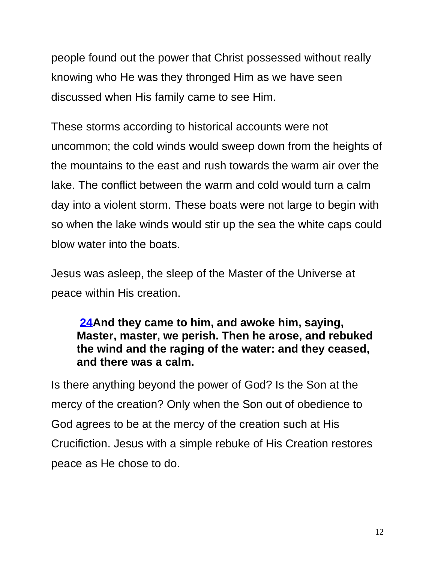people found out the power that Christ possessed without really knowing who He was they thronged Him as we have seen discussed when His family came to see Him.

These storms according to historical accounts were not uncommon; the cold winds would sweep down from the heights of the mountains to the east and rush towards the warm air over the lake. The conflict between the warm and cold would turn a calm day into a violent storm. These boats were not large to begin with so when the lake winds would stir up the sea the white caps could blow water into the boats.

Jesus was asleep, the sleep of the Master of the Universe at peace within His creation.

## **[24A](https://biblehub.com/luke/8-24.htm)nd they came to him, and awoke him, saying, Master, master, we perish. Then he arose, and rebuked the wind and the raging of the water: and they ceased, and there was a calm.**

Is there anything beyond the power of God? Is the Son at the mercy of the creation? Only when the Son out of obedience to God agrees to be at the mercy of the creation such at His Crucifiction. Jesus with a simple rebuke of His Creation restores peace as He chose to do.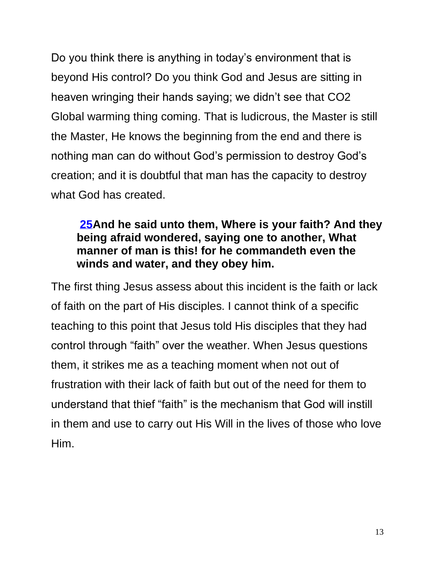Do you think there is anything in today's environment that is beyond His control? Do you think God and Jesus are sitting in heaven wringing their hands saying; we didn't see that CO2 Global warming thing coming. That is ludicrous, the Master is still the Master, He knows the beginning from the end and there is nothing man can do without God's permission to destroy God's creation; and it is doubtful that man has the capacity to destroy what God has created.

## **[25A](https://biblehub.com/luke/8-25.htm)nd he said unto them, Where is your faith? And they being afraid wondered, saying one to another, What manner of man is this! for he commandeth even the winds and water, and they obey him.**

The first thing Jesus assess about this incident is the faith or lack of faith on the part of His disciples. I cannot think of a specific teaching to this point that Jesus told His disciples that they had control through "faith" over the weather. When Jesus questions them, it strikes me as a teaching moment when not out of frustration with their lack of faith but out of the need for them to understand that thief "faith" is the mechanism that God will instill in them and use to carry out His Will in the lives of those who love Him.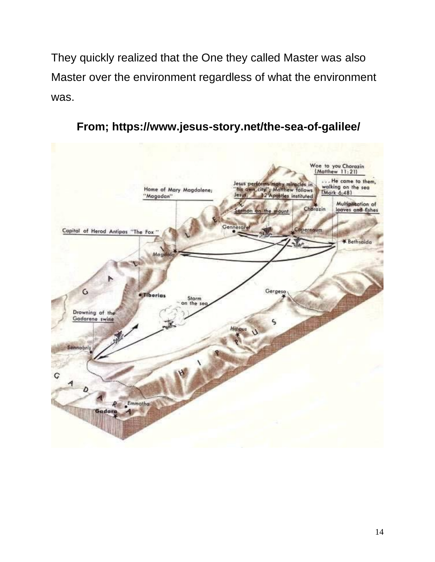They quickly realized that the One they called Master was also Master over the environment regardless of what the environment was.



**From; https://www.jesus-story.net/the-sea-of-galilee/**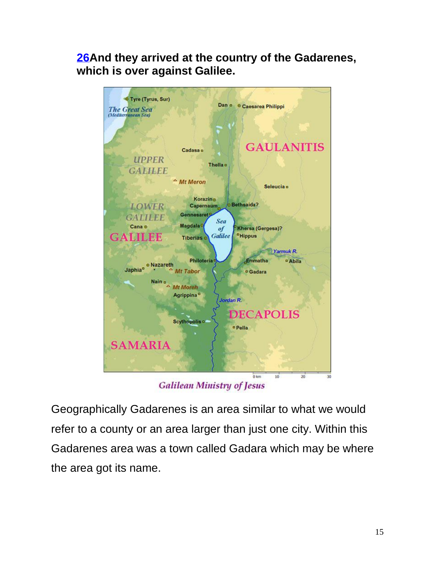**[26A](https://biblehub.com/luke/8-26.htm)nd they arrived at the country of the Gadarenes, which is over against Galilee.**



**Galilean Ministry of Jesus** 

Geographically Gadarenes is an area similar to what we would refer to a county or an area larger than just one city. Within this Gadarenes area was a town called Gadara which may be where the area got its name.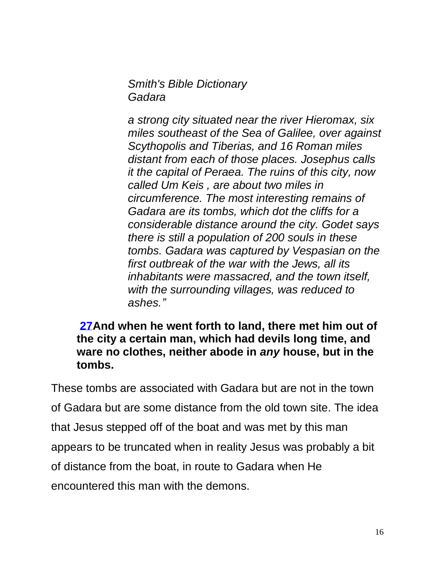*Smith's Bible Dictionary Gadara*

*a strong city situated near the river Hieromax, six miles southeast of the Sea of Galilee, over against Scythopolis and Tiberias, and 16 Roman miles distant from each of those places. Josephus calls it the capital of Peraea. The ruins of this city, now called Um Keis , are about two miles in circumference. The most interesting remains of Gadara are its tombs, which dot the cliffs for a considerable distance around the city. Godet says there is still a population of 200 souls in these tombs. Gadara was captured by Vespasian on the first outbreak of the war with the Jews, all its inhabitants were massacred, and the town itself, with the surrounding villages, was reduced to ashes."*

**[27A](https://biblehub.com/luke/8-27.htm)nd when he went forth to land, there met him out of the city a certain man, which had devils long time, and ware no clothes, neither abode in** *any* **house, but in the tombs.**

These tombs are associated with Gadara but are not in the town of Gadara but are some distance from the old town site. The idea that Jesus stepped off of the boat and was met by this man appears to be truncated when in reality Jesus was probably a bit of distance from the boat, in route to Gadara when He encountered this man with the demons.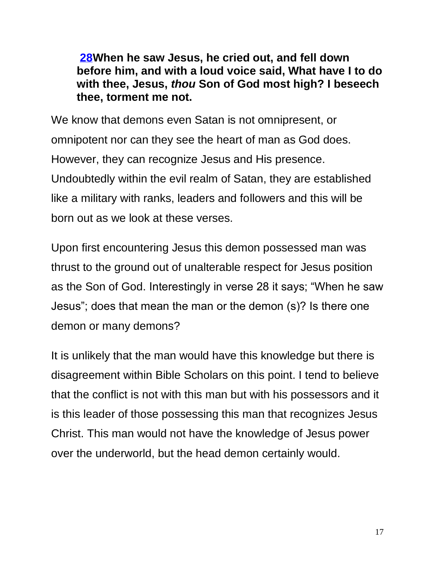**[28W](https://biblehub.com/luke/8-28.htm)hen he saw Jesus, he cried out, and fell down before him, and with a loud voice said, What have I to do with thee, Jesus,** *thou* **Son of God most high? I beseech thee, torment me not.**

We know that demons even Satan is not omnipresent, or omnipotent nor can they see the heart of man as God does. However, they can recognize Jesus and His presence. Undoubtedly within the evil realm of Satan, they are established like a military with ranks, leaders and followers and this will be born out as we look at these verses.

Upon first encountering Jesus this demon possessed man was thrust to the ground out of unalterable respect for Jesus position as the Son of God. Interestingly in verse 28 it says; "When he saw Jesus"; does that mean the man or the demon (s)? Is there one demon or many demons?

It is unlikely that the man would have this knowledge but there is disagreement within Bible Scholars on this point. I tend to believe that the conflict is not with this man but with his possessors and it is this leader of those possessing this man that recognizes Jesus Christ. This man would not have the knowledge of Jesus power over the underworld, but the head demon certainly would.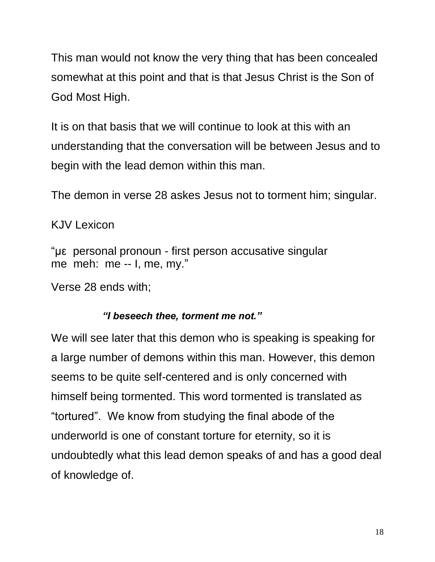This man would not know the very thing that has been concealed somewhat at this point and that is that Jesus Christ is the Son of God Most High.

It is on that basis that we will continue to look at this with an understanding that the conversation will be between Jesus and to begin with the lead demon within this man.

The demon in verse 28 askes Jesus not to torment him; singular.

### KJV Lexicon

"με personal pronoun - first person accusative singular me meh: me -- I, me, my."

Verse 28 ends with;

#### *"I beseech thee, torment me not."*

We will see later that this demon who is speaking is speaking for a large number of demons within this man. However, this demon seems to be quite self-centered and is only concerned with himself being tormented. This word tormented is translated as "tortured". We know from studying the final abode of the underworld is one of constant torture for eternity, so it is undoubtedly what this lead demon speaks of and has a good deal of knowledge of.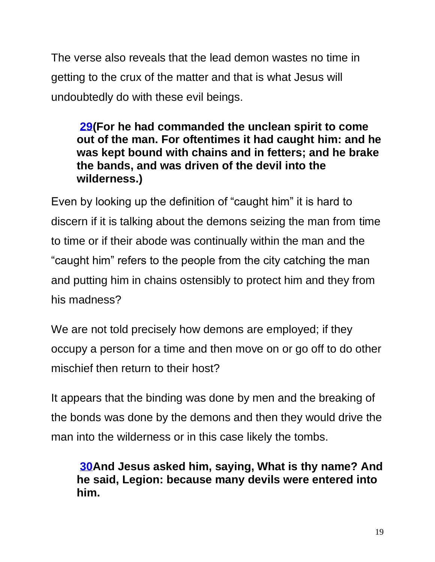The verse also reveals that the lead demon wastes no time in getting to the crux of the matter and that is what Jesus will undoubtedly do with these evil beings.

## **[29\(](https://biblehub.com/luke/8-29.htm)For he had commanded the unclean spirit to come out of the man. For oftentimes it had caught him: and he was kept bound with chains and in fetters; and he brake the bands, and was driven of the devil into the wilderness.)**

Even by looking up the definition of "caught him" it is hard to discern if it is talking about the demons seizing the man from time to time or if their abode was continually within the man and the "caught him" refers to the people from the city catching the man and putting him in chains ostensibly to protect him and they from his madness?

We are not told precisely how demons are employed; if they occupy a person for a time and then move on or go off to do other mischief then return to their host?

It appears that the binding was done by men and the breaking of the bonds was done by the demons and then they would drive the man into the wilderness or in this case likely the tombs.

**[30A](https://biblehub.com/luke/8-30.htm)nd Jesus asked him, saying, What is thy name? And he said, Legion: because many devils were entered into him.**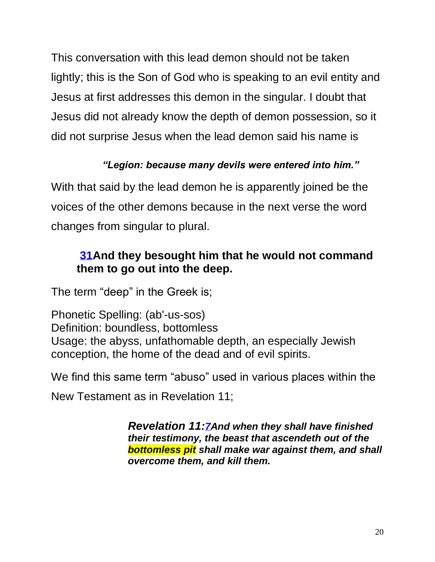This conversation with this lead demon should not be taken lightly; this is the Son of God who is speaking to an evil entity and Jesus at first addresses this demon in the singular. I doubt that Jesus did not already know the depth of demon possession, so it did not surprise Jesus when the lead demon said his name is

## *"Legion: because many devils were entered into him."*

With that said by the lead demon he is apparently joined be the voices of the other demons because in the next verse the word changes from singular to plural.

## **[31A](https://biblehub.com/luke/8-31.htm)nd they besought him that he would not command them to go out into the deep.**

The term "deep" in the Greek is;

Phonetic Spelling: (ab'-us-sos) Definition: boundless, bottomless Usage: the abyss, unfathomable depth, an especially Jewish conception, the home of the dead and of evil spirits.

We find this same term "abuso" used in various places within the

New Testament as in Revelation 11;

*Revelation 11:[7A](https://biblehub.com/revelation/11-7.htm)nd when they shall have finished their testimony, the beast that ascendeth out of the bottomless pit shall make war against them, and shall overcome them, and kill them.*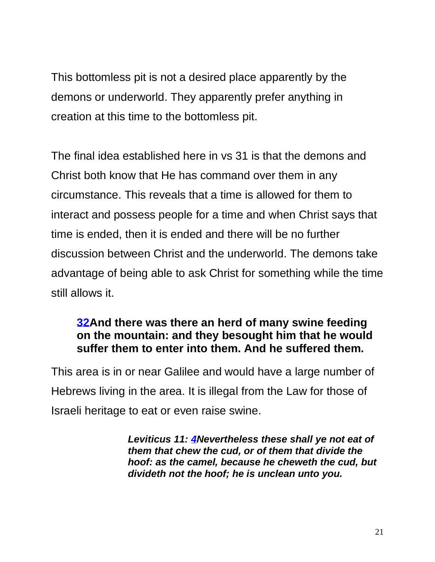This bottomless pit is not a desired place apparently by the demons or underworld. They apparently prefer anything in creation at this time to the bottomless pit.

The final idea established here in vs 31 is that the demons and Christ both know that He has command over them in any circumstance. This reveals that a time is allowed for them to interact and possess people for a time and when Christ says that time is ended, then it is ended and there will be no further discussion between Christ and the underworld. The demons take advantage of being able to ask Christ for something while the time still allows it.

## **[32A](https://biblehub.com/luke/8-32.htm)nd there was there an herd of many swine feeding on the mountain: and they besought him that he would suffer them to enter into them. And he suffered them.**

This area is in or near Galilee and would have a large number of Hebrews living in the area. It is illegal from the Law for those of Israeli heritage to eat or even raise swine.

> *Leviticus 11: [4N](https://biblehub.com/leviticus/11-4.htm)evertheless these shall ye not eat of them that chew the cud, or of them that divide the hoof: as the camel, because he cheweth the cud, but divideth not the hoof; he is unclean unto you.*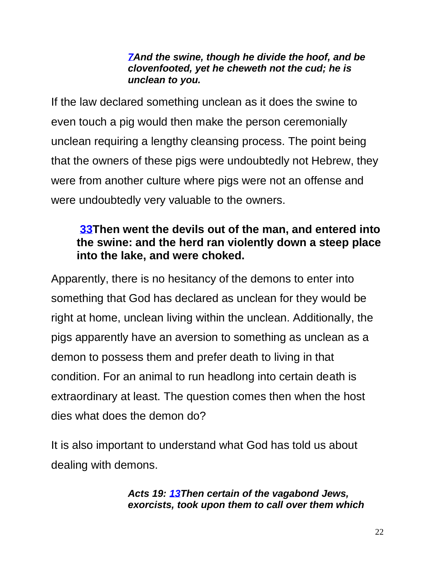#### *[7A](https://biblehub.com/leviticus/11-7.htm)nd the swine, though he divide the hoof, and be clovenfooted, yet he cheweth not the cud; he is unclean to you.*

If the law declared something unclean as it does the swine to even touch a pig would then make the person ceremonially unclean requiring a lengthy cleansing process. The point being that the owners of these pigs were undoubtedly not Hebrew, they were from another culture where pigs were not an offense and were undoubtedly very valuable to the owners.

## **[33T](https://biblehub.com/luke/8-33.htm)hen went the devils out of the man, and entered into the swine: and the herd ran violently down a steep place into the lake, and were choked.**

Apparently, there is no hesitancy of the demons to enter into something that God has declared as unclean for they would be right at home, unclean living within the unclean. Additionally, the pigs apparently have an aversion to something as unclean as a demon to possess them and prefer death to living in that condition. For an animal to run headlong into certain death is extraordinary at least. The question comes then when the host dies what does the demon do?

It is also important to understand what God has told us about dealing with demons.

#### *Acts 19: [13T](https://biblehub.com/acts/19-13.htm)hen certain of the vagabond Jews, exorcists, took upon them to call over them which*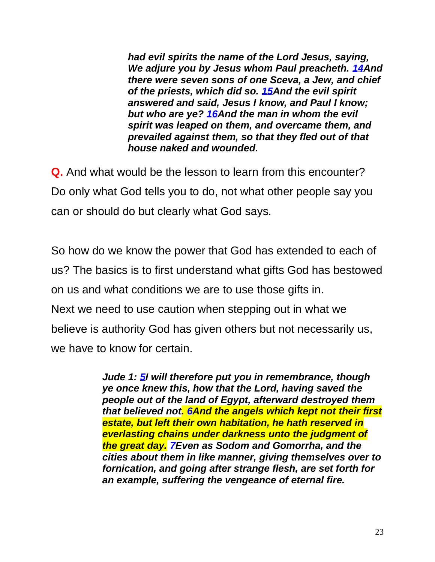*had evil spirits the name of the Lord Jesus, saying, We adjure you by Jesus whom Paul preacheth. [14A](https://biblehub.com/acts/19-14.htm)nd there were seven sons of one Sceva, a Jew, and chief of the priests, which did so. [15A](https://biblehub.com/acts/19-15.htm)nd the evil spirit answered and said, Jesus I know, and Paul I know; but who are ye? [16A](https://biblehub.com/acts/19-16.htm)nd the man in whom the evil spirit was leaped on them, and overcame them, and prevailed against them, so that they fled out of that house naked and wounded.* 

**Q.** And what would be the lesson to learn from this encounter? Do only what God tells you to do, not what other people say you can or should do but clearly what God says.

So how do we know the power that God has extended to each of us? The basics is to first understand what gifts God has bestowed on us and what conditions we are to use those gifts in. Next we need to use caution when stepping out in what we believe is authority God has given others but not necessarily us, we have to know for certain.

> *Jude 1: [5I](https://biblehub.com/jude/1-5.htm) will therefore put you in remembrance, though ye once knew this, how that the Lord, having saved the people out of the land of Egypt, afterward destroyed them that believed not. [6A](https://biblehub.com/jude/1-6.htm)nd the angels which kept not their first estate, but left their own habitation, he hath reserved in everlasting chains under darkness unto the judgment of the great day. [7E](https://biblehub.com/jude/1-7.htm)ven as Sodom and Gomorrha, and the cities about them in like manner, giving themselves over to fornication, and going after strange flesh, are set forth for an example, suffering the vengeance of eternal fire.*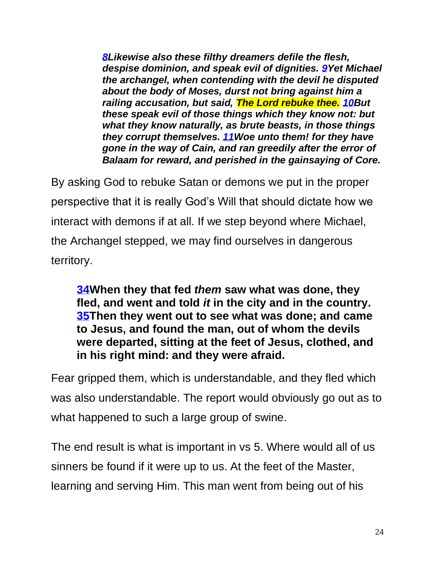*[8L](https://biblehub.com/jude/1-8.htm)ikewise also these filthy dreamers defile the flesh, despise dominion, and speak evil of dignities. [9Y](https://biblehub.com/jude/1-9.htm)et Michael the archangel, when contending with the devil he disputed about the body of Moses, durst not bring against him a railing accusation, but said, The Lord rebuke thee. [10B](https://biblehub.com/jude/1-10.htm)ut these speak evil of those things which they know not: but what they know naturally, as brute beasts, in those things they corrupt themselves. [11W](https://biblehub.com/jude/1-11.htm)oe unto them! for they have gone in the way of Cain, and ran greedily after the error of Balaam for reward, and perished in the gainsaying of Core.* 

By asking God to rebuke Satan or demons we put in the proper perspective that it is really God's Will that should dictate how we interact with demons if at all. If we step beyond where Michael, the Archangel stepped, we may find ourselves in dangerous territory.

**[34W](https://biblehub.com/luke/8-34.htm)hen they that fed** *them* **saw what was done, they fled, and went and told** *it* **in the city and in the country. [35T](https://biblehub.com/luke/8-35.htm)hen they went out to see what was done; and came to Jesus, and found the man, out of whom the devils were departed, sitting at the feet of Jesus, clothed, and in his right mind: and they were afraid.**

Fear gripped them, which is understandable, and they fled which was also understandable. The report would obviously go out as to what happened to such a large group of swine.

The end result is what is important in vs 5. Where would all of us sinners be found if it were up to us. At the feet of the Master, learning and serving Him. This man went from being out of his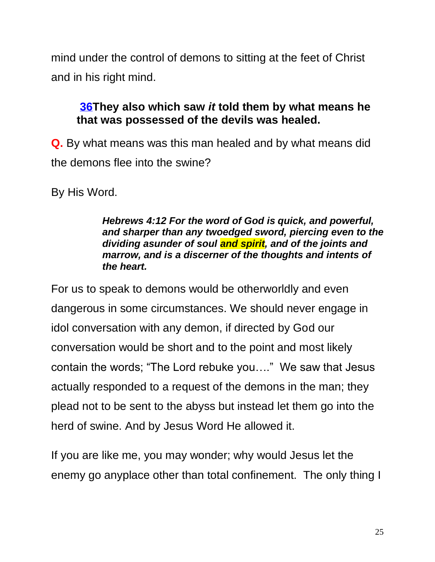mind under the control of demons to sitting at the feet of Christ and in his right mind.

## **[36T](https://biblehub.com/luke/8-36.htm)hey also which saw** *it* **told them by what means he that was possessed of the devils was healed.**

**Q.** By what means was this man healed and by what means did the demons flee into the swine?

By His Word.

#### *Hebrews 4:12 For the word of God is quick, and powerful, and sharper than any twoedged sword, piercing even to the dividing asunder of soul and spirit, and of the joints and marrow, and is a discerner of the thoughts and intents of the heart.*

For us to speak to demons would be otherworldly and even dangerous in some circumstances. We should never engage in idol conversation with any demon, if directed by God our conversation would be short and to the point and most likely contain the words; "The Lord rebuke you…." We saw that Jesus actually responded to a request of the demons in the man; they plead not to be sent to the abyss but instead let them go into the herd of swine. And by Jesus Word He allowed it.

If you are like me, you may wonder; why would Jesus let the enemy go anyplace other than total confinement. The only thing I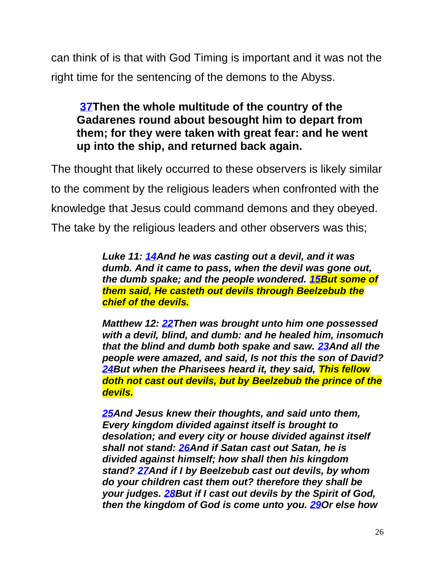can think of is that with God Timing is important and it was not the right time for the sentencing of the demons to the Abyss.

**[37T](https://biblehub.com/luke/8-37.htm)hen the whole multitude of the country of the Gadarenes round about besought him to depart from them; for they were taken with great fear: and he went up into the ship, and returned back again.**

The thought that likely occurred to these observers is likely similar to the comment by the religious leaders when confronted with the knowledge that Jesus could command demons and they obeyed. The take by the religious leaders and other observers was this;

> *Luke 11: [14A](https://biblehub.com/luke/11-14.htm)nd he was casting out a devil, and it was dumb. And it came to pass, when the devil was gone out, the dumb spake; and the people wondered. [15B](https://biblehub.com/luke/11-15.htm)ut some of them said, He casteth out devils through Beelzebub the chief of the devils.*

*Matthew 12: [22T](https://biblehub.com/matthew/12-22.htm)hen was brought unto him one possessed with a devil, blind, and dumb: and he healed him, insomuch that the blind and dumb both spake and saw. [23A](https://biblehub.com/matthew/12-23.htm)nd all the people were amazed, and said, Is not this the son of David? [24B](https://biblehub.com/matthew/12-24.htm)ut when the Pharisees heard it, they said, This fellow doth not cast out devils, but by Beelzebub the prince of the devils.*

*[25A](https://biblehub.com/matthew/12-25.htm)nd Jesus knew their thoughts, and said unto them, Every kingdom divided against itself is brought to desolation; and every city or house divided against itself shall not stand: [26A](https://biblehub.com/matthew/12-26.htm)nd if Satan cast out Satan, he is divided against himself; how shall then his kingdom stand? [27A](https://biblehub.com/matthew/12-27.htm)nd if I by Beelzebub cast out devils, by whom do your children cast them out? therefore they shall be your judges. [28B](https://biblehub.com/matthew/12-28.htm)ut if I cast out devils by the Spirit of God, then the kingdom of God is come unto you. [29O](https://biblehub.com/matthew/12-29.htm)r else how*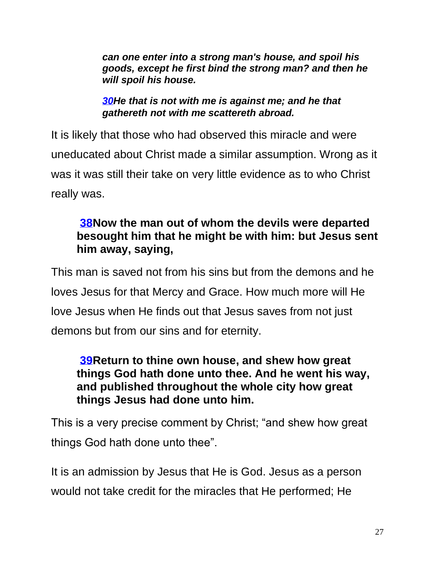*can one enter into a strong man's house, and spoil his goods, except he first bind the strong man? and then he will spoil his house.*

*[30H](https://biblehub.com/matthew/12-30.htm)e that is not with me is against me; and he that gathereth not with me scattereth abroad.*

It is likely that those who had observed this miracle and were uneducated about Christ made a similar assumption. Wrong as it was it was still their take on very little evidence as to who Christ really was.

## **[38N](https://biblehub.com/luke/8-38.htm)ow the man out of whom the devils were departed besought him that he might be with him: but Jesus sent him away, saying,**

This man is saved not from his sins but from the demons and he loves Jesus for that Mercy and Grace. How much more will He love Jesus when He finds out that Jesus saves from not just demons but from our sins and for eternity.

## **[39R](https://biblehub.com/luke/8-39.htm)eturn to thine own house, and shew how great things God hath done unto thee. And he went his way, and published throughout the whole city how great things Jesus had done unto him.**

This is a very precise comment by Christ; "and shew how great things God hath done unto thee".

It is an admission by Jesus that He is God. Jesus as a person would not take credit for the miracles that He performed; He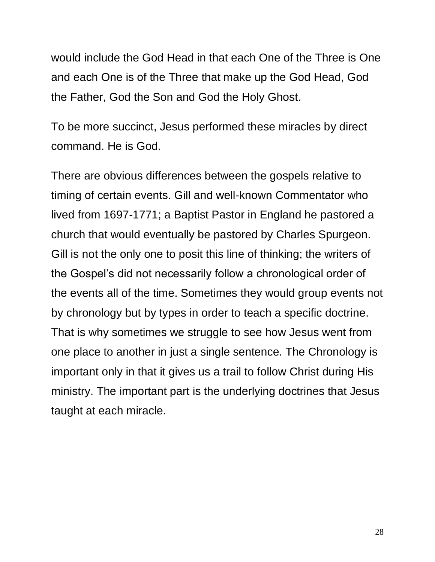would include the God Head in that each One of the Three is One and each One is of the Three that make up the God Head, God the Father, God the Son and God the Holy Ghost.

To be more succinct, Jesus performed these miracles by direct command. He is God.

There are obvious differences between the gospels relative to timing of certain events. Gill and well-known Commentator who lived from 1697-1771; a Baptist Pastor in England he pastored a church that would eventually be pastored by Charles Spurgeon. Gill is not the only one to posit this line of thinking; the writers of the Gospel's did not necessarily follow a chronological order of the events all of the time. Sometimes they would group events not by chronology but by types in order to teach a specific doctrine. That is why sometimes we struggle to see how Jesus went from one place to another in just a single sentence. The Chronology is important only in that it gives us a trail to follow Christ during His ministry. The important part is the underlying doctrines that Jesus taught at each miracle.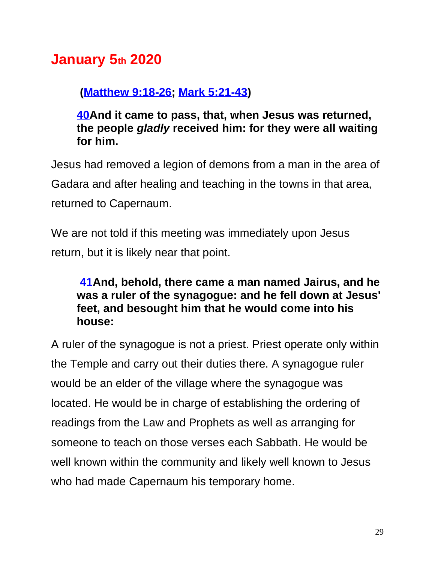# **January 5th 2020**

## **[\(Matthew 9:18-26;](https://biblehub.com/kjv/matthew/9.htm#18) [Mark 5:21-43\)](https://biblehub.com/kjv/mark/5.htm#21)**

**[40A](https://biblehub.com/luke/8-40.htm)nd it came to pass, that, when Jesus was returned, the people** *gladly* **received him: for they were all waiting for him.**

Jesus had removed a legion of demons from a man in the area of Gadara and after healing and teaching in the towns in that area, returned to Capernaum.

We are not told if this meeting was immediately upon Jesus return, but it is likely near that point.

## **[41A](https://biblehub.com/luke/8-41.htm)nd, behold, there came a man named Jairus, and he was a ruler of the synagogue: and he fell down at Jesus' feet, and besought him that he would come into his house:**

A ruler of the synagogue is not a priest. Priest operate only within the Temple and carry out their duties there. A synagogue ruler would be an elder of the village where the synagogue was located. He would be in charge of establishing the ordering of readings from the Law and Prophets as well as arranging for someone to teach on those verses each Sabbath. He would be well known within the community and likely well known to Jesus who had made Capernaum his temporary home.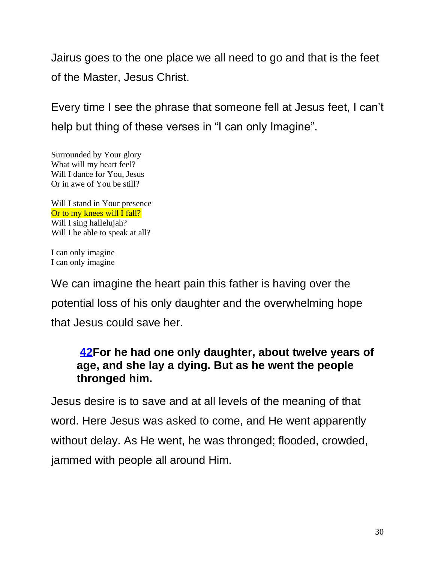Jairus goes to the one place we all need to go and that is the feet of the Master, Jesus Christ.

Every time I see the phrase that someone fell at Jesus feet, I can't help but thing of these verses in "I can only Imagine".

Surrounded by Your glory What will my heart feel? Will I dance for You, Jesus Or in awe of You be still?

Will I stand in Your presence Or to my knees will I fall? Will I sing hallelujah? Will I be able to speak at all?

I can only imagine I can only imagine

We can imagine the heart pain this father is having over the potential loss of his only daughter and the overwhelming hope that Jesus could save her.

## **[42F](https://biblehub.com/luke/8-42.htm)or he had one only daughter, about twelve years of age, and she lay a dying. But as he went the people thronged him.**

Jesus desire is to save and at all levels of the meaning of that word. Here Jesus was asked to come, and He went apparently without delay. As He went, he was thronged; flooded, crowded, jammed with people all around Him.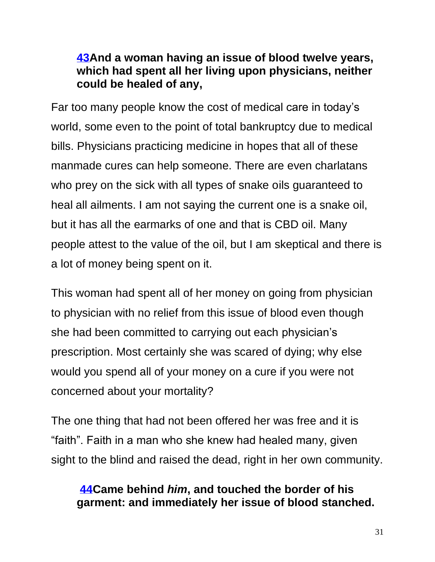## **[43A](https://biblehub.com/luke/8-43.htm)nd a woman having an issue of blood twelve years, which had spent all her living upon physicians, neither could be healed of any,**

Far too many people know the cost of medical care in today's world, some even to the point of total bankruptcy due to medical bills. Physicians practicing medicine in hopes that all of these manmade cures can help someone. There are even charlatans who prey on the sick with all types of snake oils guaranteed to heal all ailments. I am not saying the current one is a snake oil, but it has all the earmarks of one and that is CBD oil. Many people attest to the value of the oil, but I am skeptical and there is a lot of money being spent on it.

This woman had spent all of her money on going from physician to physician with no relief from this issue of blood even though she had been committed to carrying out each physician's prescription. Most certainly she was scared of dying; why else would you spend all of your money on a cure if you were not concerned about your mortality?

The one thing that had not been offered her was free and it is "faith". Faith in a man who she knew had healed many, given sight to the blind and raised the dead, right in her own community.

## **[44C](https://biblehub.com/luke/8-44.htm)ame behind** *him***, and touched the border of his garment: and immediately her issue of blood stanched.**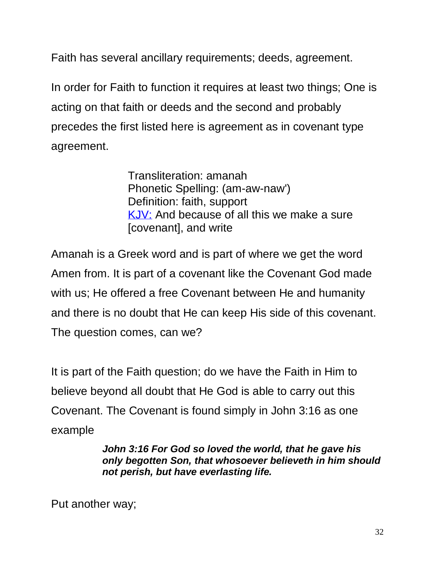Faith has several ancillary requirements; deeds, agreement.

In order for Faith to function it requires at least two things; One is acting on that faith or deeds and the second and probably precedes the first listed here is agreement as in covenant type agreement.

> Transliteration: amanah Phonetic Spelling: (am-aw-naw') Definition: faith, support [KJV:](https://biblehub.com/kjvs/nehemiah/9.htm) And because of all this we make a sure [covenant], and write

Amanah is a Greek word and is part of where we get the word Amen from. It is part of a covenant like the Covenant God made with us; He offered a free Covenant between He and humanity and there is no doubt that He can keep His side of this covenant. The question comes, can we?

It is part of the Faith question; do we have the Faith in Him to believe beyond all doubt that He God is able to carry out this Covenant. The Covenant is found simply in John 3:16 as one example

> *John 3:16 For God so loved the world, that he gave his only begotten Son, that whosoever believeth in him should not perish, but have everlasting life.*

Put another way;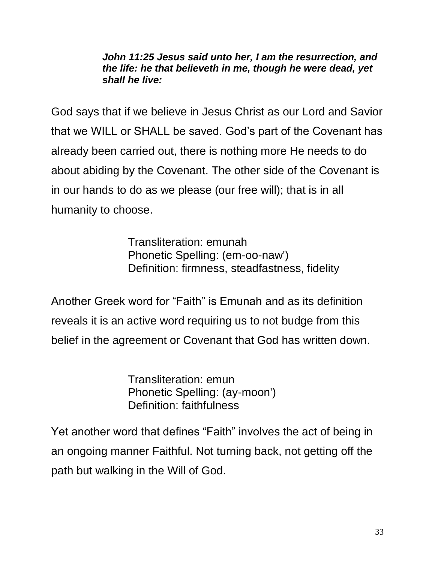#### *John 11:25 Jesus said unto her, I am the resurrection, and the life: he that believeth in me, though he were dead, yet shall he live:*

God says that if we believe in Jesus Christ as our Lord and Savior that we WILL or SHALL be saved. God's part of the Covenant has already been carried out, there is nothing more He needs to do about abiding by the Covenant. The other side of the Covenant is in our hands to do as we please (our free will); that is in all humanity to choose.

> Transliteration: emunah Phonetic Spelling: (em-oo-naw') Definition: firmness, steadfastness, fidelity

Another Greek word for "Faith" is Emunah and as its definition reveals it is an active word requiring us to not budge from this belief in the agreement or Covenant that God has written down.

> Transliteration: emun Phonetic Spelling: (ay-moon') Definition: faithfulness

Yet another word that defines "Faith" involves the act of being in an ongoing manner Faithful. Not turning back, not getting off the path but walking in the Will of God.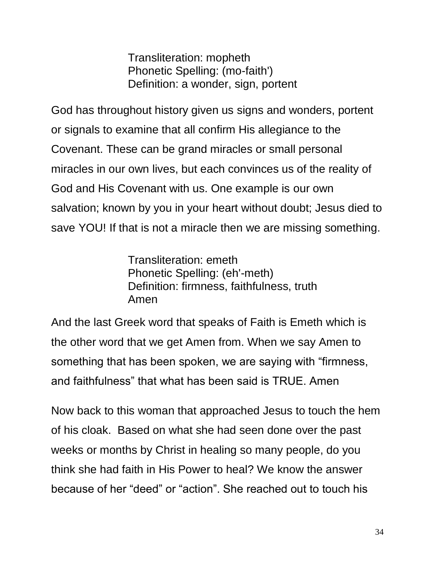Transliteration: mopheth Phonetic Spelling: (mo-faith') Definition: a wonder, sign, portent

God has throughout history given us signs and wonders, portent or signals to examine that all confirm His allegiance to the Covenant. These can be grand miracles or small personal miracles in our own lives, but each convinces us of the reality of God and His Covenant with us. One example is our own salvation; known by you in your heart without doubt; Jesus died to save YOU! If that is not a miracle then we are missing something.

> Transliteration: emeth Phonetic Spelling: (eh'-meth) Definition: firmness, faithfulness, truth Amen

And the last Greek word that speaks of Faith is Emeth which is the other word that we get Amen from. When we say Amen to something that has been spoken, we are saying with "firmness, and faithfulness" that what has been said is TRUE. Amen

Now back to this woman that approached Jesus to touch the hem of his cloak. Based on what she had seen done over the past weeks or months by Christ in healing so many people, do you think she had faith in His Power to heal? We know the answer because of her "deed" or "action". She reached out to touch his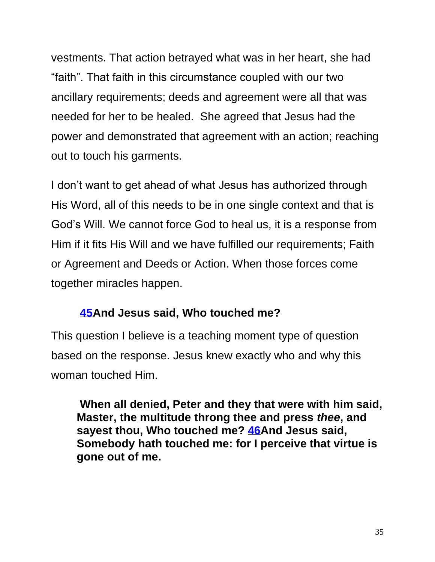vestments. That action betrayed what was in her heart, she had "faith". That faith in this circumstance coupled with our two ancillary requirements; deeds and agreement were all that was needed for her to be healed. She agreed that Jesus had the power and demonstrated that agreement with an action; reaching out to touch his garments.

I don't want to get ahead of what Jesus has authorized through His Word, all of this needs to be in one single context and that is God's Will. We cannot force God to heal us, it is a response from Him if it fits His Will and we have fulfilled our requirements; Faith or Agreement and Deeds or Action. When those forces come together miracles happen.

## **[45A](https://biblehub.com/luke/8-45.htm)nd Jesus said, Who touched me?**

This question I believe is a teaching moment type of question based on the response. Jesus knew exactly who and why this woman touched Him.

**When all denied, Peter and they that were with him said, Master, the multitude throng thee and press** *thee***, and sayest thou, Who touched me? [46A](https://biblehub.com/luke/8-46.htm)nd Jesus said, Somebody hath touched me: for I perceive that virtue is gone out of me.**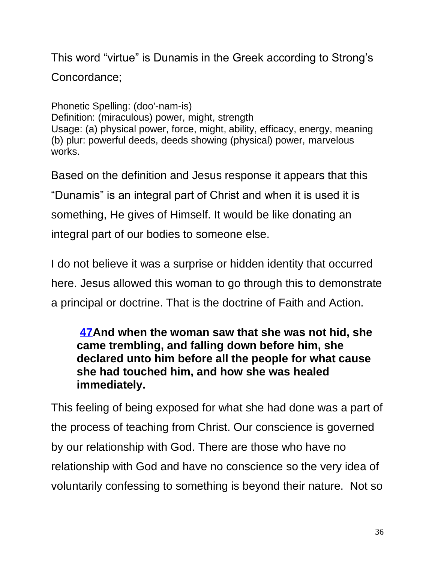This word "virtue" is Dunamis in the Greek according to Strong's Concordance;

Phonetic Spelling: (doo'-nam-is) Definition: (miraculous) power, might, strength Usage: (a) physical power, force, might, ability, efficacy, energy, meaning (b) plur: powerful deeds, deeds showing (physical) power, marvelous works.

Based on the definition and Jesus response it appears that this "Dunamis" is an integral part of Christ and when it is used it is something, He gives of Himself. It would be like donating an integral part of our bodies to someone else.

I do not believe it was a surprise or hidden identity that occurred here. Jesus allowed this woman to go through this to demonstrate a principal or doctrine. That is the doctrine of Faith and Action.

## **[47A](https://biblehub.com/luke/8-47.htm)nd when the woman saw that she was not hid, she came trembling, and falling down before him, she declared unto him before all the people for what cause she had touched him, and how she was healed immediately.**

This feeling of being exposed for what she had done was a part of the process of teaching from Christ. Our conscience is governed by our relationship with God. There are those who have no relationship with God and have no conscience so the very idea of voluntarily confessing to something is beyond their nature. Not so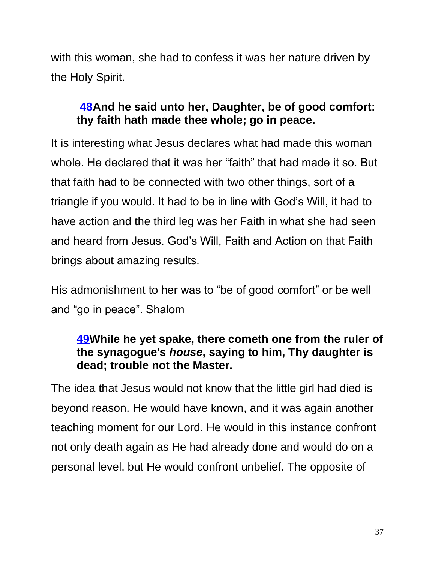with this woman, she had to confess it was her nature driven by the Holy Spirit.

## **[48A](https://biblehub.com/luke/8-48.htm)nd he said unto her, Daughter, be of good comfort: thy faith hath made thee whole; go in peace.**

It is interesting what Jesus declares what had made this woman whole. He declared that it was her "faith" that had made it so. But that faith had to be connected with two other things, sort of a triangle if you would. It had to be in line with God's Will, it had to have action and the third leg was her Faith in what she had seen and heard from Jesus. God's Will, Faith and Action on that Faith brings about amazing results.

His admonishment to her was to "be of good comfort" or be well and "go in peace". Shalom

## **[49W](https://biblehub.com/luke/8-49.htm)hile he yet spake, there cometh one from the ruler of the synagogue's** *house***, saying to him, Thy daughter is dead; trouble not the Master.**

The idea that Jesus would not know that the little girl had died is beyond reason. He would have known, and it was again another teaching moment for our Lord. He would in this instance confront not only death again as He had already done and would do on a personal level, but He would confront unbelief. The opposite of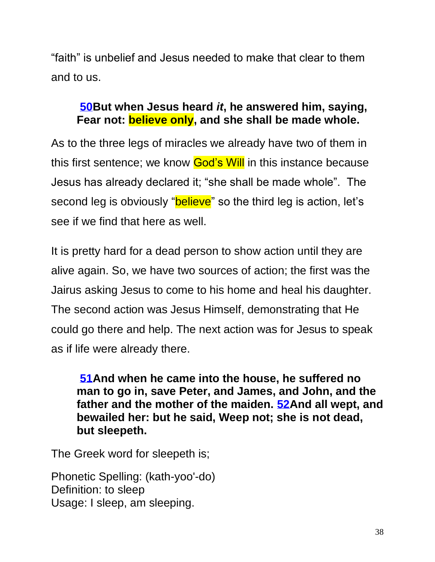"faith" is unbelief and Jesus needed to make that clear to them and to us.

## **[50B](https://biblehub.com/luke/8-50.htm)ut when Jesus heard** *it***, he answered him, saying, Fear not: believe only, and she shall be made whole.**

As to the three legs of miracles we already have two of them in this first sentence; we know God's Will in this instance because Jesus has already declared it; "she shall be made whole". The second leg is obviously "**believe**" so the third leg is action, let's see if we find that here as well.

It is pretty hard for a dead person to show action until they are alive again. So, we have two sources of action; the first was the Jairus asking Jesus to come to his home and heal his daughter. The second action was Jesus Himself, demonstrating that He could go there and help. The next action was for Jesus to speak as if life were already there.

**[51A](https://biblehub.com/luke/8-51.htm)nd when he came into the house, he suffered no man to go in, save Peter, and James, and John, and the father and the mother of the maiden. [52A](https://biblehub.com/luke/8-52.htm)nd all wept, and bewailed her: but he said, Weep not; she is not dead, but sleepeth.**

The Greek word for sleepeth is;

Phonetic Spelling: (kath-yoo'-do) Definition: to sleep Usage: I sleep, am sleeping.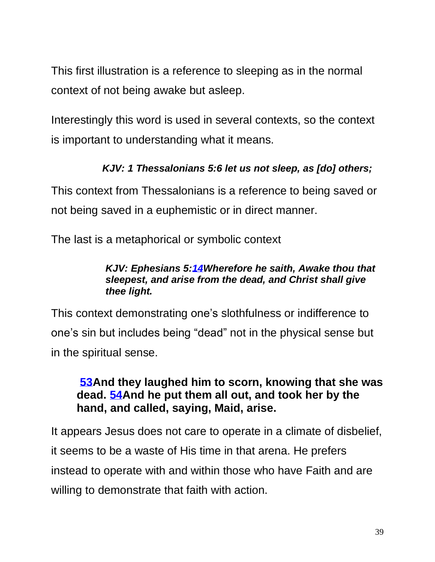This first illustration is a reference to sleeping as in the normal context of not being awake but asleep.

Interestingly this word is used in several contexts, so the context is important to understanding what it means.

## *[KJV:](https://biblehub.com/kjvs/1_thessalonians/5.htm) 1 Thessalonians 5:6 let us not sleep, as [do] others;*

This context from Thessalonians is a reference to being saved or not being saved in a euphemistic or in direct manner.

The last is a metaphorical or symbolic context

#### *KJV: Ephesians 5[:14W](https://biblehub.com/ephesians/5-14.htm)herefore he saith, Awake thou that sleepest, and arise from the dead, and Christ shall give thee light.*

This context demonstrating one's slothfulness or indifference to one's sin but includes being "dead" not in the physical sense but in the spiritual sense.

## **[53A](https://biblehub.com/luke/8-53.htm)nd they laughed him to scorn, knowing that she was dead. [54A](https://biblehub.com/luke/8-54.htm)nd he put them all out, and took her by the hand, and called, saying, Maid, arise.**

It appears Jesus does not care to operate in a climate of disbelief, it seems to be a waste of His time in that arena. He prefers instead to operate with and within those who have Faith and are willing to demonstrate that faith with action.